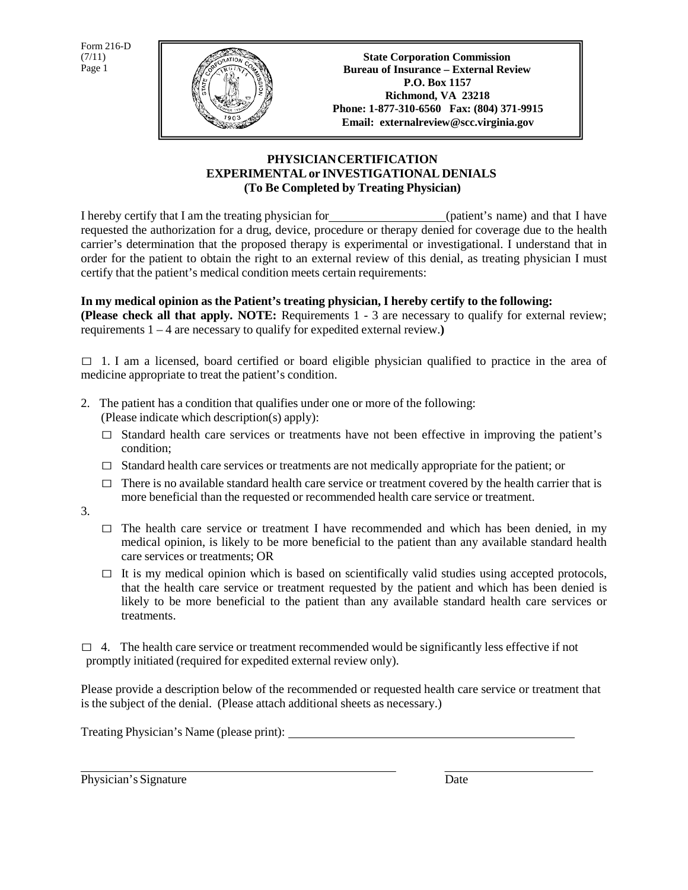Form 216-D  $(7/11)$ Page 1



## **PHYSICIANCERTIFICATION EXPERIMENTALor INVESTIGATIONAL DENIALS (To Be Completed by Treating Physician)**

I hereby certify that I am the treating physician for (patient's name) and that I have requested the authorization for a drug, device, procedure or therapy denied for coverage due to the health carrier's determination that the proposed therapy is experimental or investigational. I understand that in order for the patient to obtain the right to an external review of this denial, as treating physician I must certify that the patient's medical condition meets certain requirements:

## **In my medical opinion as the Patient's treating physician, I hereby certify to the following:**

**(Please check all that apply. NOTE:** Requirements 1 - 3 are necessary to qualify for external review; requirements 1 – 4 are necessary to qualify for expedited external review.**)**

 $\Box$  1. I am a licensed, board certified or board eligible physician qualified to practice in the area of medicine appropriate to treat the patient's condition.

- 2. The patient has a condition that qualifies under one or more of the following: (Please indicate which description(s) apply):
	- $\square$  Standard health care services or treatments have not been effective in improving the patient's condition;
	- $\Box$  Standard health care services or treatments are not medically appropriate for the patient; or
	- $\Box$  There is no available standard health care service or treatment covered by the health carrier that is more beneficial than the requested or recommended health care service or treatment.
- 3.
- $\square$  The health care service or treatment I have recommended and which has been denied, in my medical opinion, is likely to be more beneficial to the patient than any available standard health care services or treatments; OR
- $\Box$  It is my medical opinion which is based on scientifically valid studies using accepted protocols, that the health care service or treatment requested by the patient and which has been denied is likely to be more beneficial to the patient than any available standard health care services or treatments.

 $\Box$  4. The health care service or treatment recommended would be significantly less effective if not promptly initiated (required for expedited external review only).

Please provide a description below of the recommended or requested health care service or treatment that is the subject of the denial. (Please attach additional sheets as necessary.)

Treating Physician's Name (please print):

Physician's Signature Date